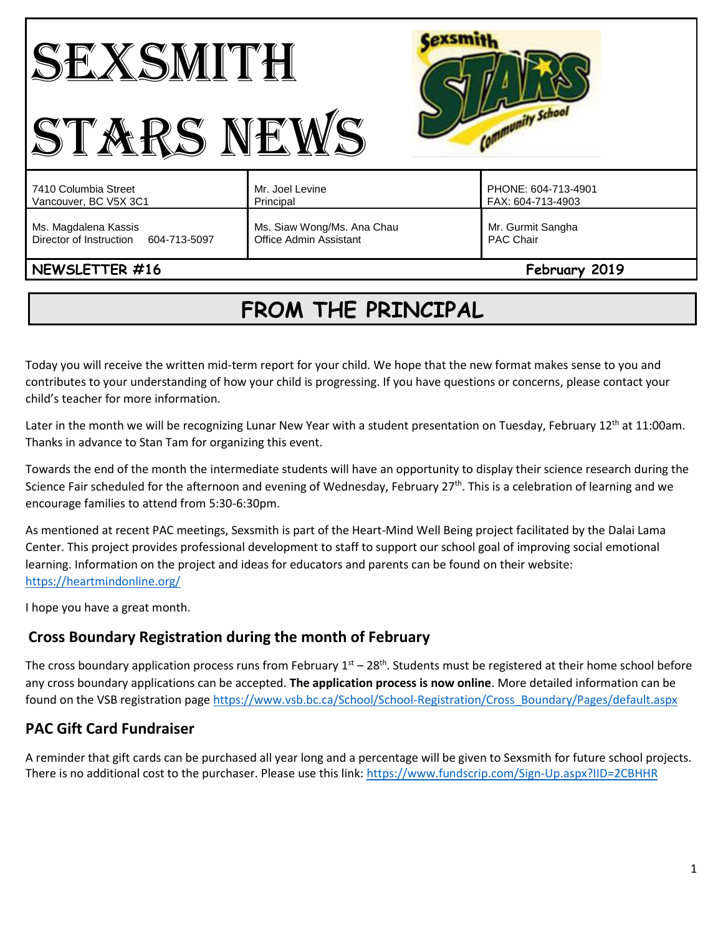#### Cexsmith SEXSMITH Community School STARS NEWS Mr. Joel Levine PHONE: 604-713-4901 7410 Columbia Street Vancouver, BC V5X 3C1 Principal FAX: 604-713-4903 Ms. Magdalena Kassis Ms. Siaw Wong/Ms. Ana Chau Mr. Gurmit Sangha Director of Instruction 604-713-5097 Office Admin Assistant PAC Chair

# **NEWSLETTER #16** February **2019**

# **FROM THE PRINCIPAL**

Today you will receive the written mid-term report for your child. We hope that the new format makes sense to you and contributes to your understanding of how your child is progressing. If you have questions or concerns, please contact your child's teacher for more information.

Later in the month we will be recognizing Lunar New Year with a student presentation on Tuesday, February 12<sup>th</sup> at 11:00am. Thanks in advance to Stan Tam for organizing this event.

Towards the end of the month the intermediate students will have an opportunity to display their science research during the Science Fair scheduled for the afternoon and evening of Wednesday, February 27<sup>th</sup>. This is a celebration of learning and we encourage families to attend from 5:30-6:30pm.

As mentioned at recent PAC meetings, Sexsmith is part of the Heart-Mind Well Being project facilitated by the Dalai Lama Center. This project provides professional development to staff to support our school goal of improving social emotional learning. Information on the project and ideas for educators and parents can be found on their website: <https://heartmindonline.org/>

I hope you have a great month.

# **Cross Boundary Registration during the month of February**

The cross boundary application process runs from February  $1^{st}$  – 28<sup>th</sup>. Students must be registered at their home school before any cross boundary applications can be accepted. **The application process is now online**. More detailed information can be found on the VSB registration pag[e https://www.vsb.bc.ca/School/School-Registration/Cross\\_Boundary/Pages/default.aspx](https://www.vsb.bc.ca/School/School-Registration/Cross_Boundary/Pages/default.aspx)

# **PAC Gift Card Fundraiser**

A reminder that gift cards can be purchased all year long and a percentage will be given to Sexsmith for future school projects. There is no additional cost to the purchaser. Please use this link:<https://www.fundscrip.com/Sign-Up.aspx?IID=2CBHHR>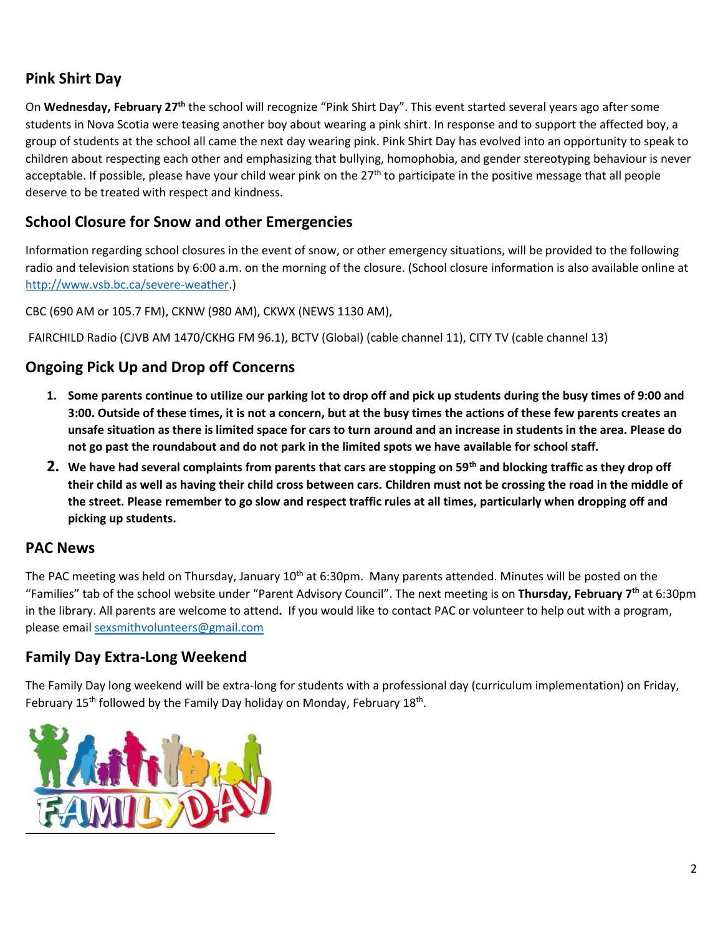## **Pink Shirt Day**

On Wednesday, February 27<sup>th</sup> the school will recognize "Pink Shirt Day". This event started several years ago after some students in Nova Scotia were teasing another boy about wearing a pink shirt. In response and to support the affected boy, a group of students at the school all came the next day wearing pink. Pink Shirt Day has evolved into an opportunity to speak to children about respecting each other and emphasizing that bullying, homophobia, and gender stereotyping behaviour is never acceptable. If possible, please have your child wear pink on the 27<sup>th</sup> to participate in the positive message that all people deserve to be treated with respect and kindness.

## **School Closure for Snow and other Emergencies**

Information regarding school closures in the event of snow, or other emergency situations, will be provided to the following radio and television stations by 6:00 a.m. on the morning of the closure. (School closure information is also available online at [http://www.vsb.bc.ca/severe-weather.](http://www.vsb.bc.ca/severe-weather))

CBC (690 AM or 105.7 FM), CKNW (980 AM), CKWX (NEWS 1130 AM),

FAIRCHILD Radio (CJVB AM 1470/CKHG FM 96.1), BCTV (Global) (cable channel 11), CITY TV (cable channel 13)

## **Ongoing Pick Up and Drop off Concerns**

- **1. Some parents continue to utilize our parking lot to drop off and pick up students during the busy times of 9:00 and 3:00. Outside of these times, it is not a concern, but at the busy times the actions of these few parents creates an unsafe situation as there is limited space for cars to turn around and an increase in students in the area. Please do not go past the roundabout and do not park in the limited spots we have available for school staff.**
- **2. We have had several complaints from parents that cars are stopping on 59th and blocking traffic as they drop off their child as well as having their child cross between cars. Children must not be crossing the road in the middle of the street. Please remember to go slow and respect traffic rules at all times, particularly when dropping off and picking up students.**

#### **PAC News**

The PAC meeting was held on Thursday, January 10<sup>th</sup> at 6:30pm. Many parents attended. Minutes will be posted on the "Families" tab of the school website under "Parent Advisory Council". The next meeting is on **Thursday, February 7th** at 6:30pm in the library. All parents are welcome to attend**.** If you would like to contact PAC or volunteer to help out with a program, please email [sexsmithvolunteers@gmail.com](mailto:sexsmithvolunteers@gmail.com)

## **Family Day Extra-Long Weekend**

The Family Day long weekend will be extra-long for students with a professional day (curriculum implementation) on Friday, February 15<sup>th</sup> followed by the Family Day holiday on Monday, February 18<sup>th</sup>.

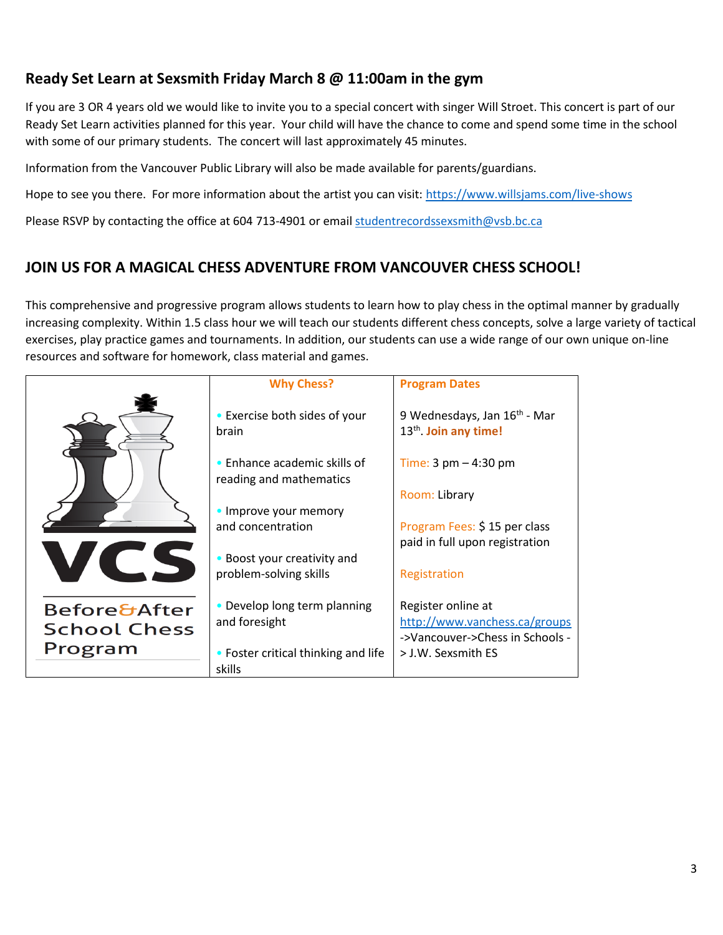## **Ready Set Learn at Sexsmith Friday March 8 @ 11:00am in the gym**

If you are 3 OR 4 years old we would like to invite you to a special concert with singer Will Stroet. This concert is part of our Ready Set Learn activities planned for this year. Your child will have the chance to come and spend some time in the school with some of our primary students. The concert will last approximately 45 minutes.

Information from the Vancouver Public Library will also be made available for parents/guardians.

Hope to see you there. For more information about the artist you can visit[: https://www.willsjams.com/live-shows](https://www.willsjams.com/live-shows)

Please RSVP by contacting the office at 604 713-4901 or email [studentrecordssexsmith@vsb.bc.ca](mailto:studentrecordssexsmith@vsb.bc.ca)

# **JOIN US FOR A MAGICAL CHESS ADVENTURE FROM VANCOUVER CHESS SCHOOL!**

This comprehensive and progressive program allows students to learn how to play chess in the optimal manner by gradually increasing complexity. Within 1.5 class hour we will teach our students different chess concepts, solve a large variety of tactical exercises, play practice games and tournaments. In addition, our students can use a wide range of our own unique on-line resources and software for homework, class material and games.

|                         | <b>Why Chess?</b>                                       | <b>Program Dates</b>                                                          |
|-------------------------|---------------------------------------------------------|-------------------------------------------------------------------------------|
|                         | • Exercise both sides of your<br>brain                  | 9 Wednesdays, Jan 16 <sup>th</sup> - Mar<br>13 <sup>th</sup> . Join any time! |
|                         | • Enhance academic skills of<br>reading and mathematics | Time: $3 \text{ pm} - 4:30 \text{ pm}$                                        |
|                         |                                                         | Room: Library                                                                 |
|                         | • Improve your memory<br>and concentration              | Program Fees: \$15 per class                                                  |
|                         |                                                         | paid in full upon registration                                                |
|                         | • Boost your creativity and                             |                                                                               |
|                         | problem-solving skills                                  | Registration                                                                  |
| <b>Before&amp;After</b> | • Develop long term planning                            | Register online at                                                            |
| <b>School Chess</b>     | and foresight                                           | http://www.vanchess.ca/groups                                                 |
| Program                 |                                                         | ->Vancouver->Chess in Schools -                                               |
|                         | • Foster critical thinking and life<br>skills           | > J.W. Sexsmith ES                                                            |